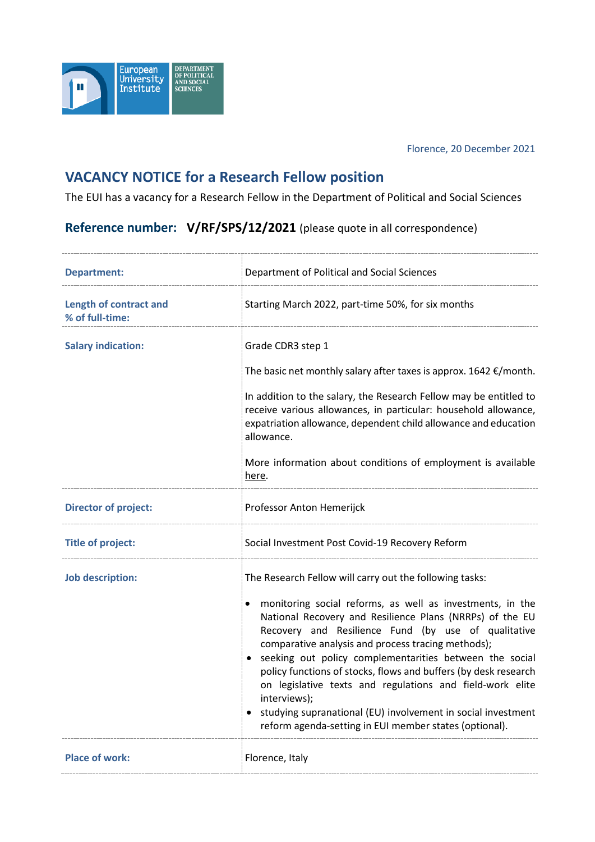

## Florence, 20 December 2021

## **VACANCY NOTICE for a Research Fellow position**

The EUI has a vacancy for a Research Fellow in the Department of Political and Social Sciences

## **Reference number: V/RF/SPS/12/2021** (please quote in all correspondence)

| <b>Department:</b>                               | Department of Political and Social Sciences                                                                                                                                                                                                                                                                                                                                                                                                                                                                                                                                                                                            |
|--------------------------------------------------|----------------------------------------------------------------------------------------------------------------------------------------------------------------------------------------------------------------------------------------------------------------------------------------------------------------------------------------------------------------------------------------------------------------------------------------------------------------------------------------------------------------------------------------------------------------------------------------------------------------------------------------|
| <b>Length of contract and</b><br>% of full-time: | Starting March 2022, part-time 50%, for six months                                                                                                                                                                                                                                                                                                                                                                                                                                                                                                                                                                                     |
| <b>Salary indication:</b>                        | Grade CDR3 step 1<br>The basic net monthly salary after taxes is approx. $1642 \epsilon$ /month.<br>In addition to the salary, the Research Fellow may be entitled to<br>receive various allowances, in particular: household allowance,<br>expatriation allowance, dependent child allowance and education<br>allowance.<br>More information about conditions of employment is available<br>here.                                                                                                                                                                                                                                     |
| <b>Director of project:</b>                      | Professor Anton Hemerijck                                                                                                                                                                                                                                                                                                                                                                                                                                                                                                                                                                                                              |
| <b>Title of project:</b>                         | Social Investment Post Covid-19 Recovery Reform                                                                                                                                                                                                                                                                                                                                                                                                                                                                                                                                                                                        |
| <b>Job description:</b>                          | The Research Fellow will carry out the following tasks:<br>monitoring social reforms, as well as investments, in the<br>National Recovery and Resilience Plans (NRRPs) of the EU<br>Recovery and Resilience Fund (by use of qualitative<br>comparative analysis and process tracing methods);<br>• seeking out policy complementarities between the social<br>policy functions of stocks, flows and buffers (by desk research<br>on legislative texts and regulations and field-work elite<br>interviews);<br>• studying supranational (EU) involvement in social investment<br>reform agenda-setting in EUI member states (optional). |
| <b>Place of work:</b>                            | Florence, Italy                                                                                                                                                                                                                                                                                                                                                                                                                                                                                                                                                                                                                        |